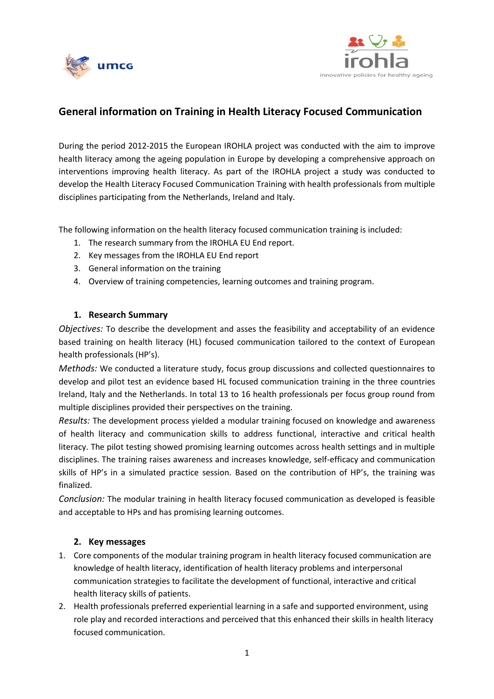



# **General information on Training in Health Literacy Focused Communication**

During the period 2012-2015 the European IROHLA project was conducted with the aim to improve health literacy among the ageing population in Europe by developing a comprehensive approach on interventions improving health literacy. As part of the IROHLA project a study was conducted to develop the Health Literacy Focused Communication Training with health professionals from multiple disciplines participating from the Netherlands, Ireland and Italy.

The following information on the health literacy focused communication training is included:

- 1. The research summary from the IROHLA EU End report.
- 2. Key messages from the IROHLA EU End report
- 3. General information on the training
- 4. Overview of training competencies, learning outcomes and training program.

## **1. Research Summary**

*Objectives:* To describe the development and asses the feasibility and acceptability of an evidence based training on health literacy (HL) focused communication tailored to the context of European health professionals (HP's).

*Methods:* We conducted a literature study, focus group discussions and collected questionnaires to develop and pilot test an evidence based HL focused communication training in the three countries Ireland, Italy and the Netherlands. In total 13 to 16 health professionals per focus group round from multiple disciplines provided their perspectives on the training.

*Results:* The development process yielded a modular training focused on knowledge and awareness of health literacy and communication skills to address functional, interactive and critical health literacy. The pilot testing showed promising learning outcomes across health settings and in multiple disciplines. The training raises awareness and increases knowledge, self-efficacy and communication skills of HP's in a simulated practice session. Based on the contribution of HP's, the training was finalized.

*Conclusion:* The modular training in health literacy focused communication as developed is feasible and acceptable to HPs and has promising learning outcomes.

## **2. Key messages**

- 1. Core components of the modular training program in health literacy focused communication are knowledge of health literacy, identification of health literacy problems and interpersonal communication strategies to facilitate the development of functional, interactive and critical health literacy skills of patients.
- 2. Health professionals preferred experiential learning in a safe and supported environment, using role play and recorded interactions and perceived that this enhanced their skills in health literacy focused communication.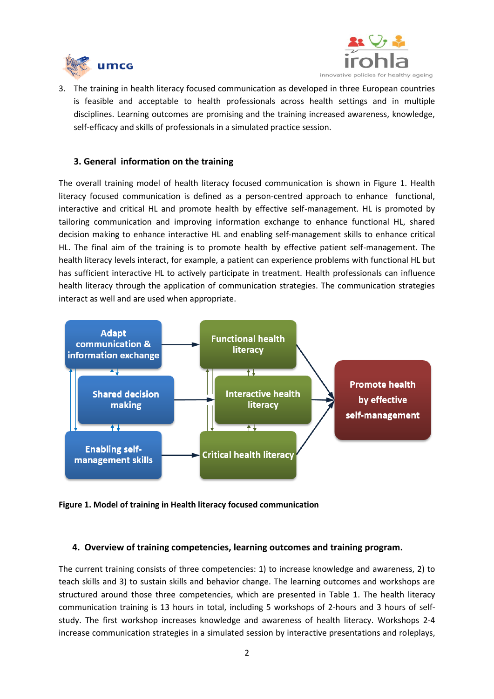



3. The training in health literacy focused communication as developed in three European countries is feasible and acceptable to health professionals across health settings and in multiple disciplines. Learning outcomes are promising and the training increased awareness, knowledge, self-efficacy and skills of professionals in a simulated practice session.

#### **3. General information on the training**

The overall training model of health literacy focused communication is shown in Figure 1. Health literacy focused communication is defined as a person-centred approach to enhance functional, interactive and critical HL and promote health by effective self-management. HL is promoted by tailoring communication and improving information exchange to enhance functional HL, shared decision making to enhance interactive HL and enabling self-management skills to enhance critical HL. The final aim of the training is to promote health by effective patient self-management. The health literacy levels interact, for example, a patient can experience problems with functional HL but has sufficient interactive HL to actively participate in treatment. Health professionals can influence health literacy through the application of communication strategies. The communication strategies interact as well and are used when appropriate.



**Figure 1. Model of training in Health literacy focused communication** 

#### **4. Overview of training competencies, learning outcomes and training program.**

The current training consists of three competencies: 1) to increase knowledge and awareness, 2) to teach skills and 3) to sustain skills and behavior change. The learning outcomes and workshops are structured around those three competencies, which are presented in Table 1. The health literacy communication training is 13 hours in total, including 5 workshops of 2-hours and 3 hours of selfstudy. The first workshop increases knowledge and awareness of health literacy. Workshops 2-4 increase communication strategies in a simulated session by interactive presentations and roleplays,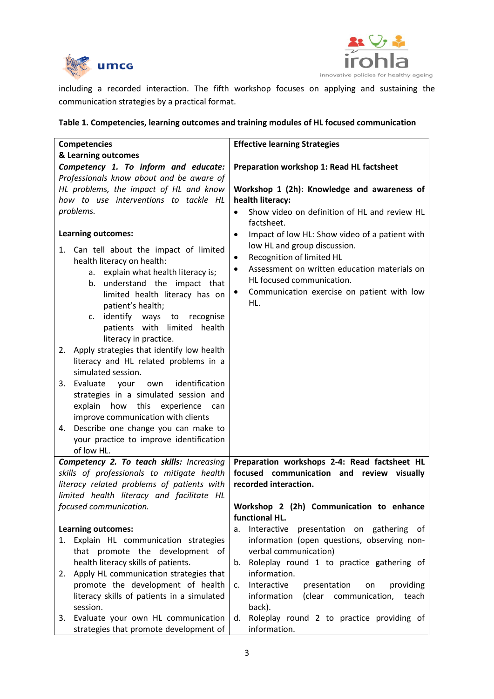



including a recorded interaction. The fifth workshop focuses on applying and sustaining the communication strategies by a practical format.

|  | Table 1. Competencies, learning outcomes and training modules of HL focused communication |
|--|-------------------------------------------------------------------------------------------|
|--|-------------------------------------------------------------------------------------------|

| <b>Competencies</b>                                                                                                                                                                                                                                                                                                                                                                                                                                                                                                                                                                                                                                                                                                    | <b>Effective learning Strategies</b>                                                                                                                                                                                                                                                      |
|------------------------------------------------------------------------------------------------------------------------------------------------------------------------------------------------------------------------------------------------------------------------------------------------------------------------------------------------------------------------------------------------------------------------------------------------------------------------------------------------------------------------------------------------------------------------------------------------------------------------------------------------------------------------------------------------------------------------|-------------------------------------------------------------------------------------------------------------------------------------------------------------------------------------------------------------------------------------------------------------------------------------------|
| & Learning outcomes                                                                                                                                                                                                                                                                                                                                                                                                                                                                                                                                                                                                                                                                                                    |                                                                                                                                                                                                                                                                                           |
| Competency 1. To inform and educate:                                                                                                                                                                                                                                                                                                                                                                                                                                                                                                                                                                                                                                                                                   | Preparation workshop 1: Read HL factsheet                                                                                                                                                                                                                                                 |
| Professionals know about and be aware of                                                                                                                                                                                                                                                                                                                                                                                                                                                                                                                                                                                                                                                                               |                                                                                                                                                                                                                                                                                           |
| HL problems, the impact of HL and know                                                                                                                                                                                                                                                                                                                                                                                                                                                                                                                                                                                                                                                                                 | Workshop 1 (2h): Knowledge and awareness of                                                                                                                                                                                                                                               |
| how to use interventions to tackle HL                                                                                                                                                                                                                                                                                                                                                                                                                                                                                                                                                                                                                                                                                  | health literacy:                                                                                                                                                                                                                                                                          |
| problems.                                                                                                                                                                                                                                                                                                                                                                                                                                                                                                                                                                                                                                                                                                              | Show video on definition of HL and review HL                                                                                                                                                                                                                                              |
|                                                                                                                                                                                                                                                                                                                                                                                                                                                                                                                                                                                                                                                                                                                        | factsheet.                                                                                                                                                                                                                                                                                |
| <b>Learning outcomes:</b><br>1. Can tell about the impact of limited<br>health literacy on health:<br>a. explain what health literacy is;<br>b. understand the impact that<br>limited health literacy has on<br>patient's health;<br>identify ways to<br>recognise<br>c.<br>patients with limited<br>health<br>literacy in practice.<br>Apply strategies that identify low health<br>2.<br>literacy and HL related problems in a<br>simulated session.<br>3. Evaluate your<br>identification<br>own<br>strategies in a simulated session and<br>explain<br>how<br>this<br>experience<br>can<br>improve communication with clients<br>4. Describe one change you can make to<br>your practice to improve identification | Impact of low HL: Show video of a patient with<br>$\bullet$<br>low HL and group discussion.<br>Recognition of limited HL<br>$\bullet$<br>Assessment on written education materials on<br>$\bullet$<br>HL focused communication.<br>Communication exercise on patient with low<br>٠<br>HL. |
| of low HL.                                                                                                                                                                                                                                                                                                                                                                                                                                                                                                                                                                                                                                                                                                             |                                                                                                                                                                                                                                                                                           |
| Competency 2. To teach skills: Increasing<br>skills of professionals to mitigate health<br>literacy related problems of patients with<br>limited health literacy and facilitate HL                                                                                                                                                                                                                                                                                                                                                                                                                                                                                                                                     | Preparation workshops 2-4: Read factsheet HL<br>focused communication and review visually<br>recorded interaction.                                                                                                                                                                        |
| focused communication.                                                                                                                                                                                                                                                                                                                                                                                                                                                                                                                                                                                                                                                                                                 | Workshop 2 (2h) Communication to enhance                                                                                                                                                                                                                                                  |
|                                                                                                                                                                                                                                                                                                                                                                                                                                                                                                                                                                                                                                                                                                                        | functional HL.                                                                                                                                                                                                                                                                            |
| <b>Learning outcomes:</b>                                                                                                                                                                                                                                                                                                                                                                                                                                                                                                                                                                                                                                                                                              | Interactive<br>presentation on gathering of<br>а.                                                                                                                                                                                                                                         |
| Explain HL communication strategies<br>1.                                                                                                                                                                                                                                                                                                                                                                                                                                                                                                                                                                                                                                                                              | information (open questions, observing non-                                                                                                                                                                                                                                               |
| that promote the development of                                                                                                                                                                                                                                                                                                                                                                                                                                                                                                                                                                                                                                                                                        | verbal communication)                                                                                                                                                                                                                                                                     |
| health literacy skills of patients.                                                                                                                                                                                                                                                                                                                                                                                                                                                                                                                                                                                                                                                                                    | Roleplay round 1 to practice gathering of<br>b.                                                                                                                                                                                                                                           |
| Apply HL communication strategies that<br>2.                                                                                                                                                                                                                                                                                                                                                                                                                                                                                                                                                                                                                                                                           | information.                                                                                                                                                                                                                                                                              |
| promote the development of health                                                                                                                                                                                                                                                                                                                                                                                                                                                                                                                                                                                                                                                                                      | Interactive<br>providing<br>presentation<br>on<br>c.                                                                                                                                                                                                                                      |
| literacy skills of patients in a simulated                                                                                                                                                                                                                                                                                                                                                                                                                                                                                                                                                                                                                                                                             | information<br>(clear communication,<br>teach                                                                                                                                                                                                                                             |
| session.                                                                                                                                                                                                                                                                                                                                                                                                                                                                                                                                                                                                                                                                                                               | back).                                                                                                                                                                                                                                                                                    |
| Evaluate your own HL communication<br>3.<br>strategies that promote development of                                                                                                                                                                                                                                                                                                                                                                                                                                                                                                                                                                                                                                     | Roleplay round 2 to practice providing of<br>d.<br>information.                                                                                                                                                                                                                           |